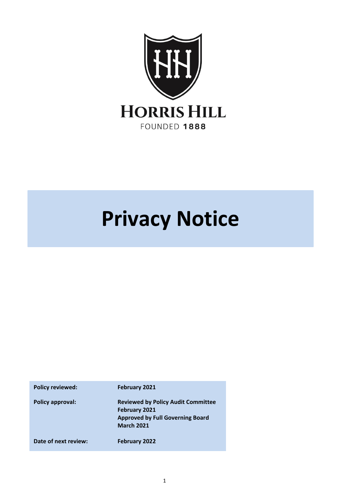

# **Privacy Notice**

| <b>Policy reviewed:</b> | <b>February 2021</b>                                                                                                              |
|-------------------------|-----------------------------------------------------------------------------------------------------------------------------------|
| <b>Policy approval:</b> | <b>Reviewed by Policy Audit Committee</b><br><b>February 2021</b><br><b>Approved by Full Governing Board</b><br><b>March 2021</b> |
| Date of next review:    | February 2022                                                                                                                     |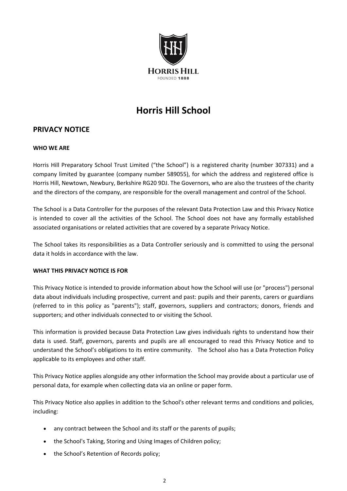

## **Horris Hill School**

### **PRIVACY NOTICE**

#### **WHO WE ARE**

Horris Hill Preparatory School Trust Limited ("the School") is a registered charity (number 307331) and a company limited by guarantee (company number 589055), for which the address and registered office is Horris Hill, Newtown, Newbury, Berkshire RG20 9DJ. The Governors, who are also the trustees of the charity and the directors of the company, are responsible for the overall management and control of the School.

The School is a Data Controller for the purposes of the relevant Data Protection Law and this Privacy Notice is intended to cover all the activities of the School. The School does not have any formally established associated organisations or related activities that are covered by a separate Privacy Notice.

The School takes its responsibilities as a Data Controller seriously and is committed to using the personal data it holds in accordance with the law.

#### **WHAT THIS PRIVACY NOTICE IS FOR**

This Privacy Notice is intended to provide information about how the School will use (or "process") personal data about individuals including prospective, current and past: pupils and their parents, carers or guardians (referred to in this policy as "parents"); staff, governors, suppliers and contractors; donors, friends and supporters; and other individuals connected to or visiting the School.

This information is provided because Data Protection Law gives individuals rights to understand how their data is used. Staff, governors, parents and pupils are all encouraged to read this Privacy Notice and to understand the School's obligations to its entire community. The School also has a Data Protection Policy applicable to its employees and other staff.

This Privacy Notice applies alongside any other information the School may provide about a particular use of personal data, for example when collecting data via an online or paper form.

This Privacy Notice also applies in addition to the School's other relevant terms and conditions and policies, including:

- any contract between the School and its staff or the parents of pupils;
- the School's Taking, Storing and Using Images of Children policy;
- the School's Retention of Records policy;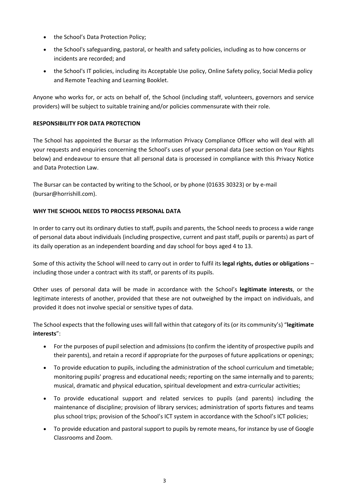- the School's Data Protection Policy;
- the School's safeguarding, pastoral, or health and safety policies, including as to how concerns or incidents are recorded; and
- the School's IT policies, including its Acceptable Use policy, Online Safety policy, Social Media policy and Remote Teaching and Learning Booklet.

Anyone who works for, or acts on behalf of, the School (including staff, volunteers, governors and service providers) will be subject to suitable training and/or policies commensurate with their role.

#### **RESPONSIBILITY FOR DATA PROTECTION**

The School has appointed the Bursar as the Information Privacy Compliance Officer who will deal with all your requests and enquiries concerning the School's uses of your personal data (see section on Your Rights below) and endeavour to ensure that all personal data is processed in compliance with this Privacy Notice and Data Protection Law.

The Bursar can be contacted by writing to the School, or by phone (01635 30323) or by e-mail [\(bursar@horrishill.com\)](mailto:bursar@horrishill.com).

#### **WHY THE SCHOOL NEEDS TO PROCESS PERSONAL DATA**

In order to carry out its ordinary duties to staff, pupils and parents, the School needs to process a wide range of personal data about individuals (including prospective, current and past staff, pupils or parents) as part of its daily operation as an independent boarding and day school for boys aged 4 to 13.

Some of this activity the School will need to carry out in order to fulfil its **legal rights, duties or obligations** – including those under a contract with its staff, or parents of its pupils.

Other uses of personal data will be made in accordance with the School's **legitimate interests**, or the legitimate interests of another, provided that these are not outweighed by the impact on individuals, and provided it does not involve special or sensitive types of data.

The School expects that the following uses will fall within that category of its (or its community's) "**legitimate interests**":

- For the purposes of pupil selection and admissions (to confirm the identity of prospective pupils and their parents), and retain a record if appropriate for the purposes of future applications or openings;
- To provide education to pupils, including the administration of the school curriculum and timetable; monitoring pupils' progress and educational needs; reporting on the same internally and to parents; musical, dramatic and physical education, spiritual development and extra-curricular activities;
- To provide educational support and related services to pupils (and parents) including the maintenance of discipline; provision of library services; administration of sports fixtures and teams plus school trips; provision of the School's ICT system in accordance with the School's ICT policies;
- To provide education and pastoral support to pupils by remote means, for instance by use of Google Classrooms and Zoom.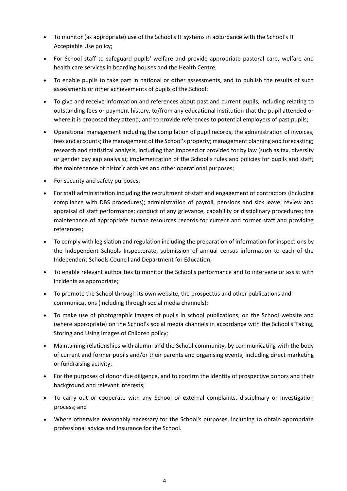- To monitor (as appropriate) use of the School's IT systems in accordance with the School's IT Acceptable Use policy;
- For School staff to safeguard pupils' welfare and provide appropriate pastoral care, welfare and health care services in boarding houses and the Health Centre;
- To enable pupils to take part in national or other assessments, and to publish the results of such assessments or other achievements of pupils of the School;
- To give and receive information and references about past and current pupils, including relating to outstanding fees or payment history, to/from any educational institution that the pupil attended or where it is proposed they attend; and to provide references to potential employers of past pupils;
- Operational management including the compilation of pupil records; the administration of invoices, fees and accounts; the management of the School's property; management planning and forecasting; research and statistical analysis, including that imposed or provided for by law (such as tax, diversity or gender pay gap analysis); implementation of the School's rules and policies for pupils and staff; the maintenance of historic archives and other operational purposes;
- For security and safety purposes;
- For staff administration including the recruitment of staff and engagement of contractors (including compliance with DBS procedures); administration of payroll, pensions and sick leave; review and appraisal of staff performance; conduct of any grievance, capability or disciplinary procedures; the maintenance of appropriate human resources records for current and former staff and providing references;
- To comply with legislation and regulation including the preparation of information for inspections by the Independent Schools Inspectorate, submission of annual census information to each of the Independent Schools Council and Department for Education;
- To enable relevant authorities to monitor the School's performance and to intervene or assist with incidents as appropriate;
- To promote the School through its own website, the prospectus and other publications and communications (including through social media channels);
- To make use of photographic images of pupils in school publications, on the School website and (where appropriate) on the School's social media channels in accordance with the School's Taking, Storing and Using Images of Children policy;
- Maintaining relationships with alumni and the School community, by communicating with the body of current and former pupils and/or their parents and organising events, including direct marketing or fundraising activity;
- For the purposes of donor due diligence, and to confirm the identity of prospective donors and their background and relevant interests;
- To carry out or cooperate with any School or external complaints, disciplinary or investigation process; and
- Where otherwise reasonably necessary for the School's purposes, including to obtain appropriate professional advice and insurance for the School.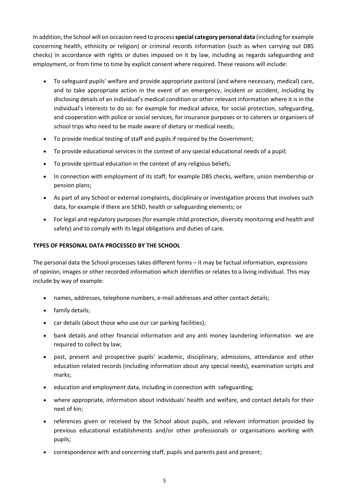In addition, the School will on occasion need to process**special category personal data** (including for example concerning health, ethnicity or religion) or criminal records information (such as when carrying out DBS checks) in accordance with rights or duties imposed on it by law, including as regards safeguarding and employment, or from time to time by explicit consent where required. These reasons will include:

- To safeguard pupils' welfare and provide appropriate pastoral (and where necessary, medical) care, and to take appropriate action in the event of an emergency, incident or accident, including by disclosing details of an individual's medical condition or other relevant information where it is in the individual's interests to do so: for example for medical advice, for social protection, safeguarding, and cooperation with police or social services, for insurance purposes or to caterers or organisers of school trips who need to be made aware of dietary or medical needs;
- To provide medical testing of staff and pupils if required by the Government;
- To provide educational services in the context of any special educational needs of a pupil;
- To provide spiritual education in the context of any religious beliefs;
- In connection with employment of its staff, for example DBS checks, welfare, union membership or pension plans;
- As part of any School or external complaints, disciplinary or investigation process that involves such data, for example if there are SEND, health or safeguarding elements; or
- For legal and regulatory purposes (for example child protection, diversity monitoring and health and safety) and to comply with its legal obligations and duties of care.

#### **TYPES OF PERSONAL DATA PROCESSED BY THE SCHOOL**

The personal data the School processes takes different forms – it may be factual information, expressions of opinion, images or other recorded information which identifies or relates to a living individual. This may include by way of example:

- names, addresses, telephone numbers, e-mail addresses and other contact details;
- family details;
- car details (about those who use our car parking facilities);
- bank details and other financial information and any anti money laundering information we are required to collect by law;
- past, present and prospective pupils' academic, disciplinary, admissions, attendance and other education related records (including information about any special needs), examination scripts and marks;
- education and employment data, including in connection with safeguarding;
- where appropriate, information about individuals' health and welfare, and contact details for their next of kin;
- references given or received by the School about pupils, and relevant information provided by previous educational establishments and/or other professionals or organisations working with pupils;
- correspondence with and concerning staff, pupils and parents past and present;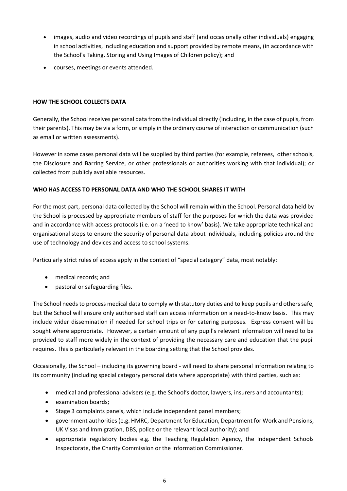- images, audio and video recordings of pupils and staff (and occasionally other individuals) engaging in school activities, including education and support provided by remote means, (in accordance with the School's Taking, Storing and Using Images of Children policy); and
- courses, meetings or events attended.

#### **HOW THE SCHOOL COLLECTS DATA**

Generally, the School receives personal data from the individual directly (including, in the case of pupils, from their parents). This may be via a form, or simply in the ordinary course of interaction or communication (such as email or written assessments).

However in some cases personal data will be supplied by third parties (for example, referees, other schools, the Disclosure and Barring Service, or other professionals or authorities working with that individual); or collected from publicly available resources.

#### **WHO HAS ACCESS TO PERSONAL DATA AND WHO THE SCHOOL SHARES IT WITH**

For the most part, personal data collected by the School will remain within the School. Personal data held by the School is processed by appropriate members of staff for the purposes for which the data was provided and in accordance with access protocols (i.e. on a 'need to know' basis). We take appropriate technical and organisational steps to ensure the security of personal data about individuals, including policies around the use of technology and devices and access to school systems.

Particularly strict rules of access apply in the context of "special category" data, most notably:

- medical records; and
- pastoral or safeguarding files.

The School needs to process medical data to comply with statutory duties and to keep pupils and others safe, but the School will ensure only authorised staff can access information on a need-to-know basis. This may include wider dissemination if needed for school trips or for catering purposes. Express consent will be sought where appropriate. However, a certain amount of any pupil's relevant information will need to be provided to staff more widely in the context of providing the necessary care and education that the pupil requires. This is particularly relevant in the boarding setting that the School provides.

Occasionally, the School – including its governing board - will need to share personal information relating to its community (including special category personal data where appropriate) with third parties, such as:

- medical and professional advisers (e.g. the School's doctor, lawyers, insurers and accountants);
- examination boards;
- Stage 3 complaints panels, which include independent panel members;
- government authorities (e.g. HMRC, Department for Education, Department for Work and Pensions, UK Visas and Immigration, DBS, police or the relevant local authority); and
- appropriate regulatory bodies e.g. the Teaching Regulation Agency, the Independent Schools Inspectorate, the Charity Commission or the Information Commissioner.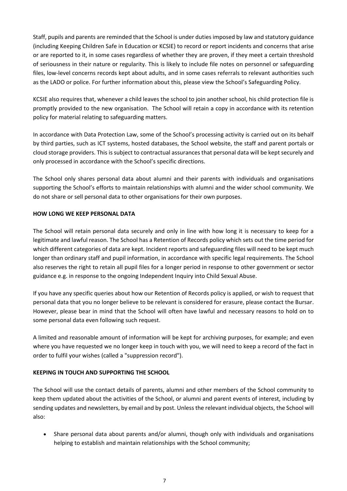Staff, pupils and parents are reminded that the School is under duties imposed by law and statutory guidance (including Keeping Children Safe in Education or KCSIE) to record or report incidents and concerns that arise or are reported to it, in some cases regardless of whether they are proven, if they meet a certain threshold of seriousness in their nature or regularity. This is likely to include file notes on personnel or safeguarding files, low-level concerns records kept about adults, and in some cases referrals to relevant authorities such as the LADO or police. For further information about this, please view the School's Safeguarding Policy.

KCSIE also requires that, whenever a child leaves the school to join another school, his child protection file is promptly provided to the new organisation. The School will retain a copy in accordance with its retention policy for material relating to safeguarding matters.

In accordance with Data Protection Law, some of the School's processing activity is carried out on its behalf by third parties, such as ICT systems, hosted databases, the School website, the staff and parent portals or cloud storage providers. This is subject to contractual assurances that personal data will be kept securely and only processed in accordance with the School's specific directions.

The School only shares personal data about alumni and their parents with individuals and organisations supporting the School's efforts to maintain relationships with alumni and the wider school community. We do not share or sell personal data to other organisations for their own purposes.

#### **HOW LONG WE KEEP PERSONAL DATA**

The School will retain personal data securely and only in line with how long it is necessary to keep for a legitimate and lawful reason. The School has a Retention of Records policy which sets out the time period for which different categories of data are kept. Incident reports and safeguarding files will need to be kept much longer than ordinary staff and pupil information, in accordance with specific legal requirements. The School also reserves the right to retain all pupil files for a longer period in response to other government or sector guidance e.g. in response to the ongoing Independent Inquiry into Child Sexual Abuse.

If you have any specific queries about how our Retention of Records policy is applied, or wish to request that personal data that you no longer believe to be relevant is considered for erasure, please contact the Bursar. However, please bear in mind that the School will often have lawful and necessary reasons to hold on to some personal data even following such request.

A limited and reasonable amount of information will be kept for archiving purposes, for example; and even where you have requested we no longer keep in touch with you, we will need to keep a record of the fact in order to fulfil your wishes (called a "suppression record").

#### **KEEPING IN TOUCH AND SUPPORTING THE SCHOOL**

The School will use the contact details of parents, alumni and other members of the School community to keep them updated about the activities of the School, or alumni and parent events of interest, including by sending updates and newsletters, by email and by post. Unless the relevant individual objects, the School will also:

 Share personal data about parents and/or alumni, though only with individuals and organisations helping to establish and maintain relationships with the School community;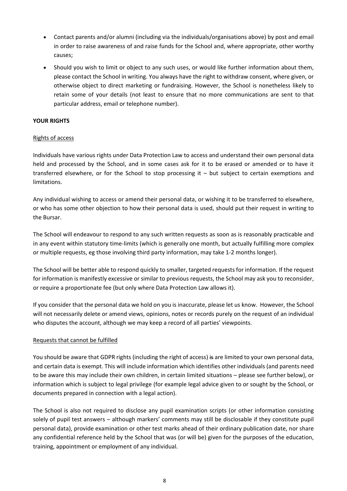- Contact parents and/or alumni (including via the individuals/organisations above) by post and email in order to raise awareness of and raise funds for the School and, where appropriate, other worthy causes;
- Should you wish to limit or object to any such uses, or would like further information about them, please contact the School in writing. You always have the right to withdraw consent, where given, or otherwise object to direct marketing or fundraising. However, the School is nonetheless likely to retain some of your details (not least to ensure that no more communications are sent to that particular address, email or telephone number).

#### **YOUR RIGHTS**

#### Rights of access

Individuals have various rights under Data Protection Law to access and understand their own personal data held and processed by the School, and in some cases ask for it to be erased or amended or to have it transferred elsewhere, or for the School to stop processing it – but subject to certain exemptions and limitations.

Any individual wishing to access or amend their personal data, or wishing it to be transferred to elsewhere, or who has some other objection to how their personal data is used, should put their request in writing to the Bursar.

The School will endeavour to respond to any such written requests as soon as is reasonably practicable and in any event within statutory time-limits (which is generally one month, but actually fulfilling more complex or multiple requests, eg those involving third party information, may take 1-2 months longer).

The School will be better able to respond quickly to smaller, targeted requests for information. If the request for information is manifestly excessive or similar to previous requests, the School may ask you to reconsider, or require a proportionate fee (but only where Data Protection Law allows it).

If you consider that the personal data we hold on you is inaccurate, please let us know. However, the School will not necessarily delete or amend views, opinions, notes or records purely on the request of an individual who disputes the account, although we may keep a record of all parties' viewpoints.

#### Requests that cannot be fulfilled

You should be aware that GDPR rights (including the right of access) is are limited to your own personal data, and certain data is exempt. This will include information which identifies other individuals (and parents need to be aware this may include their own children, in certain limited situations – please see further below), or information which is subject to legal privilege (for example legal advice given to or sought by the School, or documents prepared in connection with a legal action).

The School is also not required to disclose any pupil examination scripts (or other information consisting solely of pupil test answers – although markers' comments may still be disclosable if they constitute pupil personal data), provide examination or other test marks ahead of their ordinary publication date, nor share any confidential reference held by the School that was (or will be) given for the purposes of the education, training, appointment or employment of any individual.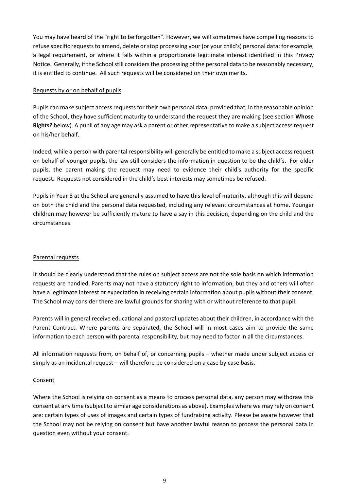You may have heard of the "right to be forgotten". However, we will sometimes have compelling reasons to refuse specific requests to amend, delete or stop processing your (or your child's) personal data: for example, a legal requirement, or where it falls within a proportionate legitimate interest identified in this Privacy Notice. Generally, if the School still considers the processing of the personal data to be reasonably necessary, it is entitled to continue. All such requests will be considered on their own merits.

#### Requests by or on behalf of pupils

Pupils can make subject access requests for their own personal data, provided that, in the reasonable opinion of the School, they have sufficient maturity to understand the request they are making (see section **Whose Rights?** below). A pupil of any age may ask a parent or other representative to make a subject access request on his/her behalf.

Indeed, while a person with parental responsibility will generally be entitled to make a subject access request on behalf of younger pupils, the law still considers the information in question to be the child's. For older pupils, the parent making the request may need to evidence their child's authority for the specific request. Requests not considered in the child's best interests may sometimes be refused.

Pupils in Year 8 at the School are generally assumed to have this level of maturity, although this will depend on both the child and the personal data requested, including any relevant circumstances at home. Younger children may however be sufficiently mature to have a say in this decision, depending on the child and the circumstances.

#### Parental requests

It should be clearly understood that the rules on subject access are not the sole basis on which information requests are handled. Parents may not have a statutory right to information, but they and others will often have a legitimate interest or expectation in receiving certain information about pupils without their consent. The School may consider there are lawful grounds for sharing with or without reference to that pupil.

Parents will in general receive educational and pastoral updates about their children, in accordance with the Parent Contract. Where parents are separated, the School will in most cases aim to provide the same information to each person with parental responsibility, but may need to factor in all the circumstances.

All information requests from, on behalf of, or concerning pupils – whether made under subject access or simply as an incidental request – will therefore be considered on a case by case basis.

#### Consent

Where the School is relying on consent as a means to process personal data, any person may withdraw this consent at any time (subject to similar age considerations as above). Examples where we may rely on consent are: certain types of uses of images and certain types of fundraising activity. Please be aware however that the School may not be relying on consent but have another lawful reason to process the personal data in question even without your consent.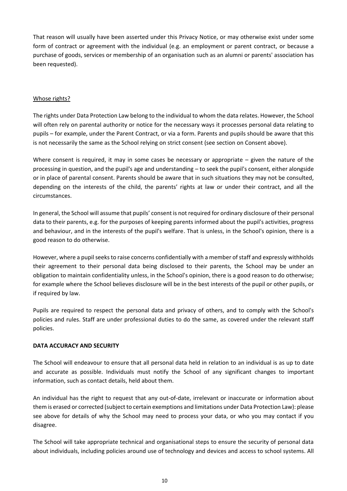That reason will usually have been asserted under this Privacy Notice, or may otherwise exist under some form of contract or agreement with the individual (e.g. an employment or parent contract, or because a purchase of goods, services or membership of an organisation such as an alumni or parents' association has been requested).

#### Whose rights?

The rights under Data Protection Law belong to the individual to whom the data relates. However, the School will often rely on parental authority or notice for the necessary ways it processes personal data relating to pupils – for example, under the Parent Contract, or via a form. Parents and pupils should be aware that this is not necessarily the same as the School relying on strict consent (see section on Consent above).

Where consent is required, it may in some cases be necessary or appropriate – given the nature of the processing in question, and the pupil's age and understanding – to seek the pupil's consent, either alongside or in place of parental consent. Parents should be aware that in such situations they may not be consulted, depending on the interests of the child, the parents' rights at law or under their contract, and all the circumstances.

In general, the School will assume that pupils' consent is not required for ordinary disclosure of their personal data to their parents, e.g. for the purposes of keeping parents informed about the pupil's activities, progress and behaviour, and in the interests of the pupil's welfare. That is unless, in the School's opinion, there is a good reason to do otherwise.

However, where a pupil seeks to raise concerns confidentially with a member of staff and expressly withholds their agreement to their personal data being disclosed to their parents, the School may be under an obligation to maintain confidentiality unless, in the School's opinion, there is a good reason to do otherwise; for example where the School believes disclosure will be in the best interests of the pupil or other pupils, or if required by law.

Pupils are required to respect the personal data and privacy of others, and to comply with the School's policies and rules. Staff are under professional duties to do the same, as covered under the relevant staff policies.

#### **DATA ACCURACY AND SECURITY**

The School will endeavour to ensure that all personal data held in relation to an individual is as up to date and accurate as possible. Individuals must notify the School of any significant changes to important information, such as contact details, held about them.

An individual has the right to request that any out-of-date, irrelevant or inaccurate or information about them is erased or corrected (subject to certain exemptions and limitations under Data Protection Law): please see above for details of why the School may need to process your data, or who you may contact if you disagree.

The School will take appropriate technical and organisational steps to ensure the security of personal data about individuals, including policies around use of technology and devices and access to school systems. All